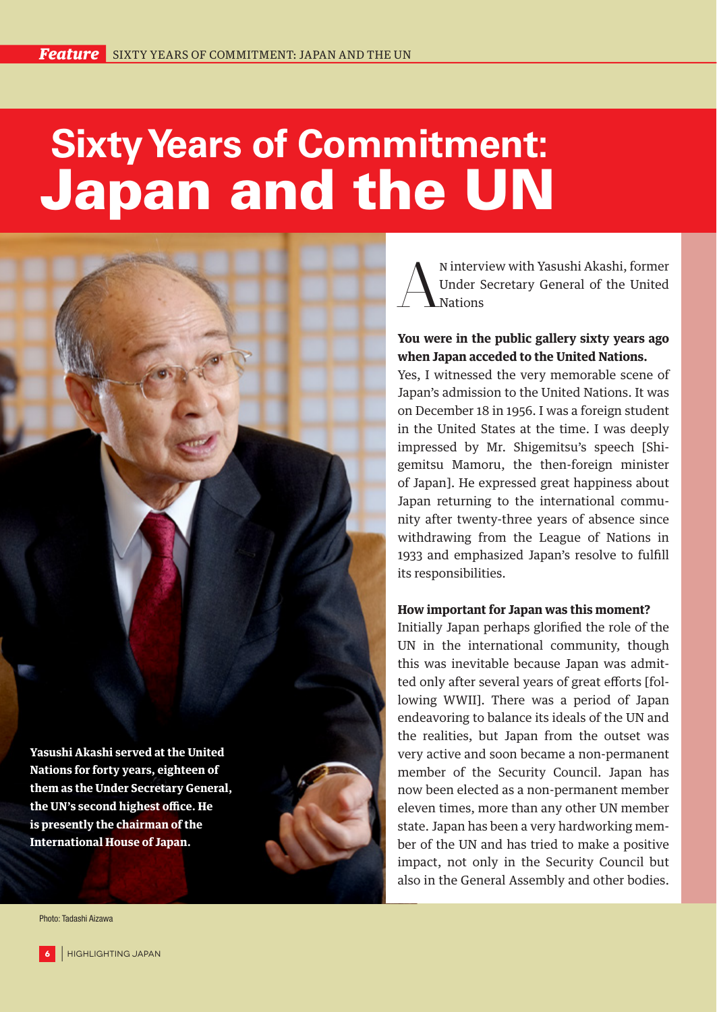# **Sixty Years of Commitment:**  Japan and the UN

**Yasushi Akashi served at the United Nations for forty years, eighteen of them as the Under Secretary General, the UN's second highest office. He is presently the chairman of the International House of Japan.**

Nuiterview with Yasushi Akashi, former<br>
Muder Secretary General of the United<br>
Nations Under Secretary General of the United **Nations** 

### **You were in the public gallery sixty years ago when Japan acceded to the United Nations.**

Yes, I witnessed the very memorable scene of Japan's admission to the United Nations. It was on December 18 in 1956. I was a foreign student in the United States at the time. I was deeply impressed by Mr. Shigemitsu's speech [Shigemitsu Mamoru, the then-foreign minister of Japan]. He expressed great happiness about Japan returning to the international community after twenty-three years of absence since withdrawing from the League of Nations in 1933 and emphasized Japan's resolve to fulfill its responsibilities.

#### **How important for Japan was this moment?**

Initially Japan perhaps glorified the role of the UN in the international community, though this was inevitable because Japan was admitted only after several years of great efforts [following WWII]. There was a period of Japan endeavoring to balance its ideals of the UN and the realities, but Japan from the outset was very active and soon became a non-permanent member of the Security Council. Japan has now been elected as a non-permanent member eleven times, more than any other UN member state. Japan has been a very hardworking member of the UN and has tried to make a positive impact, not only in the Security Council but also in the General Assembly and other bodies.

Photo: Tadashi Aizawa